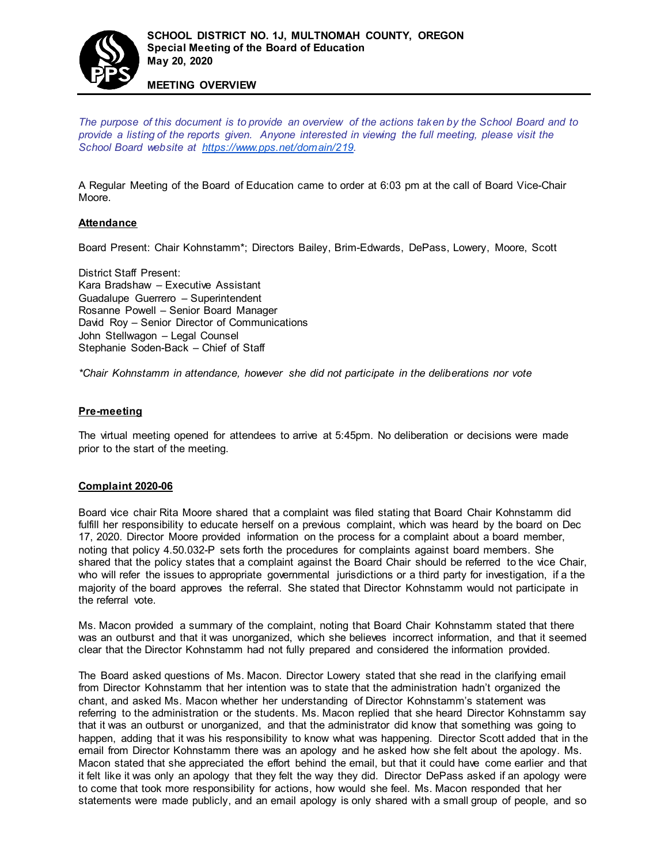

*The purpose of this document is to provide an overview of the actions taken by the School Board and to provide a listing of the reports given. Anyone interested in viewing the full meeting, please visit the School Board website at [https://www.pps.net/domain/219.](https://www.pps.net/domain/219)*

A Regular Meeting of the Board of Education came to order at 6:03 pm at the call of Board Vice-Chair Moore.

### **Attendance**

Board Present: Chair Kohnstamm\*; Directors Bailey, Brim-Edwards, DePass, Lowery, Moore, Scott

District Staff Present: Kara Bradshaw – Executive Assistant Guadalupe Guerrero – Superintendent Rosanne Powell – Senior Board Manager David Roy – Senior Director of Communications John Stellwagon – Legal Counsel Stephanie Soden-Back – Chief of Staff

**MEETING OVERVIEW**

*\*Chair Kohnstamm in attendance, however she did not participate in the deliberations nor vote*

#### **Pre-meeting**

The virtual meeting opened for attendees to arrive at 5:45pm. No deliberation or decisions were made prior to the start of the meeting.

### **Complaint 2020-06**

Board vice chair Rita Moore shared that a complaint was filed stating that Board Chair Kohnstamm did fulfill her responsibility to educate herself on a previous complaint, which was heard by the board on Dec 17, 2020. Director Moore provided information on the process for a complaint about a board member, noting that policy 4.50.032-P sets forth the procedures for complaints against board members. She shared that the policy states that a complaint against the Board Chair should be referred to the vice Chair, who will refer the issues to appropriate governmental jurisdictions or a third party for investigation, if a the majority of the board approves the referral. She stated that Director Kohnstamm would not participate in the referral vote.

Ms. Macon provided a summary of the complaint, noting that Board Chair Kohnstamm stated that there was an outburst and that it was unorganized, which she believes incorrect information, and that it seemed clear that the Director Kohnstamm had not fully prepared and considered the information provided.

The Board asked questions of Ms. Macon. Director Lowery stated that she read in the clarifying email from Director Kohnstamm that her intention was to state that the administration hadn't organized the chant, and asked Ms. Macon whether her understanding of Director Kohnstamm's statement was referring to the administration or the students. Ms. Macon replied that she heard Director Kohnstamm say that it was an outburst or unorganized, and that the administrator did know that something was going to happen, adding that it was his responsibility to know what was happening. Director Scott added that in the email from Director Kohnstamm there was an apology and he asked how she felt about the apology. Ms. Macon stated that she appreciated the effort behind the email, but that it could have come earlier and that it felt like it was only an apology that they felt the way they did. Director DePass asked if an apology were to come that took more responsibility for actions, how would she feel. Ms. Macon responded that her statements were made publicly, and an email apology is only shared with a small group of people, and so